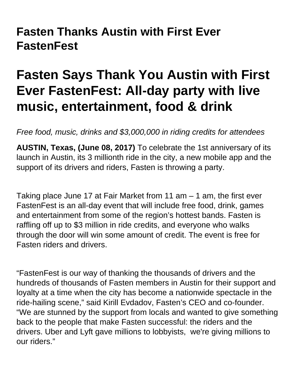## **Fasten Thanks Austin with First Ever FastenFest**

## **Fasten Says Thank You Austin with First Ever FastenFest: All-day party with live music, entertainment, food & drink**

Free food, music, drinks and \$3,000,000 in riding credits for attendees

**AUSTIN, Texas, (June 08, 2017)** To celebrate the 1st anniversary of its launch in Austin, its 3 millionth ride in the city, a new mobile app and the support of its drivers and riders, Fasten is throwing a party.

Taking place June 17 at Fair Market from 11 am  $-$  1 am, the first ever FastenFest is an all-day event that will include free food, drink, games and entertainment from some of the region's hottest bands. Fasten is raffling off up to \$3 million in ride credits, and everyone who walks through the door will win some amount of credit. The event is free for Fasten riders and drivers.

"FastenFest is our way of thanking the thousands of drivers and the hundreds of thousands of Fasten members in Austin for their support and loyalty at a time when the city has become a nationwide spectacle in the ride-hailing scene," said Kirill Evdadov, Fasten's CEO and co-founder. "We are stunned by the support from locals and wanted to give something back to the people that make Fasten successful: the riders and the drivers. Uber and Lyft gave millions to lobbyists, we're giving millions to our riders."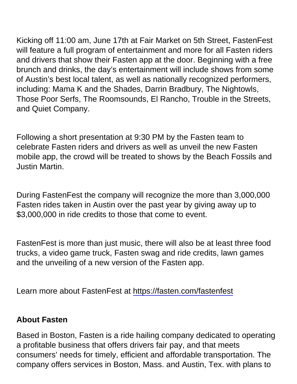Kicking off 11:00 am, June 17th at Fair Market on 5th Street, FastenFest will feature a full program of entertainment and more for all Fasten riders and drivers that show their Fasten app at the door. Beginning with a free brunch and drinks, the day's entertainment will include shows from some of Austin's best local talent, as well as nationally recognized performers, including: Mama K and the Shades, Darrin Bradbury, The Nightowls, Those Poor Serfs, The Roomsounds, El Rancho, Trouble in the Streets, and Quiet Company.

Following a short presentation at 9:30 PM by the Fasten team to celebrate Fasten riders and drivers as well as unveil the new Fasten mobile app, the crowd will be treated to shows by the Beach Fossils and Justin Martin.

During FastenFest the company will recognize the more than 3,000,000 Fasten rides taken in Austin over the past year by giving away up to \$3,000,000 in ride credits to those that come to event.

FastenFest is more than just music, there will also be at least three food trucks, a video game truck, Fasten swag and ride credits, lawn games and the unveiling of a new version of the Fasten app.

Learn more about FastenFest at<https://fasten.com/fastenfest>

About Fasten

Based in Boston, Fasten is a ride hailing company dedicated to operating a profitable business that offers drivers fair pay, and that meets consumers' needs for timely, efficient and affordable transportation. The company offers services in Boston, Mass. and Austin, Tex. with plans to